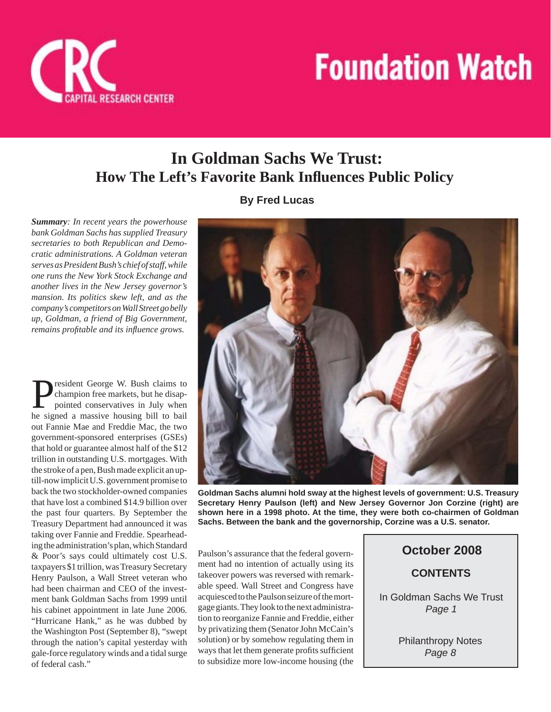

## **In Goldman Sachs We Trust: How The Left's Favorite Bank Infl uences Public Policy**

**By Fred Lucas**

*Summary: In recent years the powerhouse bank Goldman Sachs has supplied Treasury secretaries to both Republican and Democratic administrations. A Goldman veteran serves as President Bush's chief of staff, while one runs the New York Stock Exchange and another lives in the New Jersey governor's mansion. Its politics skew left, and as the company's competitors on Wall Street go belly up, Goldman, a friend of Big Government, remains profitable and its influence grows.* 

**P**resident George W. Bush claims to<br>
champion free markets, but he disap-<br>
pointed conservatives in July when<br>
the signed a massive bousing bill to beil champion free markets, but he disaphe signed a massive housing bill to bail out Fannie Mae and Freddie Mac, the two government-sponsored enterprises (GSEs) that hold or guarantee almost half of the \$12 trillion in outstanding U.S. mortgages. With the stroke of a pen, Bush made explicit an uptill-now implicit U.S. government promise to back the two stockholder-owned companies that have lost a combined \$14.9 billion over the past four quarters. By September the Treasury Department had announced it was taking over Fannie and Freddie. Spearheading the administration's plan, which Standard & Poor's says could ultimately cost U.S. taxpayers \$1 trillion, was Treasury Secretary Henry Paulson, a Wall Street veteran who had been chairman and CEO of the investment bank Goldman Sachs from 1999 until his cabinet appointment in late June 2006. "Hurricane Hank," as he was dubbed by the Washington Post (September 8), "swept through the nation's capital yesterday with gale-force regulatory winds and a tidal surge of federal cash."



**Goldman Sachs alumni hold sway at the highest levels of government: U.S. Treasury Secretary Henry Paulson (left) and New Jersey Governor Jon Corzine (right) are shown here in a 1998 photo. At the time, they were both co-chairmen of Goldman Sachs. Between the bank and the governorship, Corzine was a U.S. senator.**

Paulson's assurance that the federal government had no intention of actually using its takeover powers was reversed with remarkable speed. Wall Street and Congress have acquiesced to the Paulson seizure of the mortgage giants. They look to the next administration to reorganize Fannie and Freddie, either by privatizing them (Senator John McCain's solution) or by somehow regulating them in ways that let them generate profits sufficient to subsidize more low-income housing (the

**CONTENTS October 2008** In Goldman Sachs We Trust *Page 1*

> Philanthropy Notes *Page 8*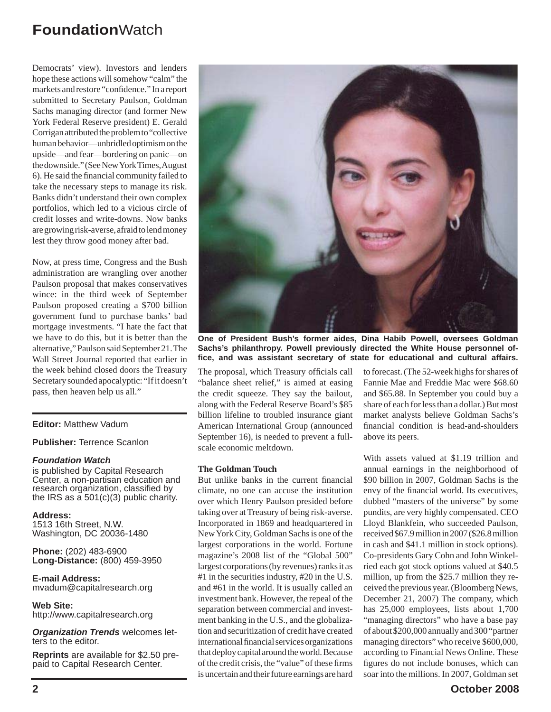Democrats' view). Investors and lenders hope these actions will somehow "calm" the markets and restore "confidence." In a report submitted to Secretary Paulson, Goldman Sachs managing director (and former New York Federal Reserve president) E. Gerald Corrigan attributed the problem to "collective human behavior—unbridled optimism on the upside—and fear—bordering on panic—on the downside." (See New York Times, August 6). He said the financial community failed to take the necessary steps to manage its risk. Banks didn't understand their own complex portfolios, which led to a vicious circle of credit losses and write-downs. Now banks are growing risk-averse, afraid to lend money lest they throw good money after bad.

Now, at press time, Congress and the Bush administration are wrangling over another Paulson proposal that makes conservatives wince: in the third week of September Paulson proposed creating a \$700 billion government fund to purchase banks' bad mortgage investments. "I hate the fact that we have to do this, but it is better than the alternative," Paulson said September 21. The Wall Street Journal reported that earlier in the week behind closed doors the Treasury Secretary sounded apocalyptic: "If it doesn't pass, then heaven help us all."

#### **Editor:** Matthew Vadum

**Publisher:** Terrence Scanlon

#### *Foundation Watch*

is published by Capital Research Center, a non-partisan education and research organization, classified by the IRS as a  $501(c)(3)$  public charity.

**Address:** 1513 16th Street, N.W. Washington, DC 20036-1480

**Phone:** (202) 483-6900 **Long-Distance:** (800) 459-3950

**E-mail Address:** mvadum@capitalresearch.org

**Web Site:** http://www.capitalresearch.org

*Organization Trends* welcomes letters to the editor.

**Reprints** are available for \$2.50 prepaid to Capital Research Center.



**One of President Bush's former aides, Dina Habib Powell, oversees Goldman Sachs's philanthropy. Powell previously directed the White House personnel offi ce, and was assistant secretary of state for educational and cultural affairs.**

The proposal, which Treasury officials call "balance sheet relief," is aimed at easing the credit squeeze. They say the bailout, along with the Federal Reserve Board's \$85 billion lifeline to troubled insurance giant American International Group (announced September 16), is needed to prevent a fullscale economic meltdown.

#### **The Goldman Touch**

But unlike banks in the current financial climate, no one can accuse the institution over which Henry Paulson presided before taking over at Treasury of being risk-averse. Incorporated in 1869 and headquartered in New York City, Goldman Sachs is one of the largest corporations in the world. Fortune magazine's 2008 list of the "Global 500" largest corporations (by revenues) ranks it as #1 in the securities industry, #20 in the U.S. and #61 in the world. It is usually called an investment bank. However, the repeal of the separation between commercial and investment banking in the U.S., and the globalization and securitization of credit have created international financial services organizations that deploy capital around the world. Because of the credit crisis, the "value" of these firms is uncertain and their future earnings are hard

to forecast. (The 52-week highs for shares of Fannie Mae and Freddie Mac were \$68.60 and \$65.88. In September you could buy a share of each for less than a dollar.) But most market analysts believe Goldman Sachs's financial condition is head-and-shoulders above its peers.

With assets valued at \$1.19 trillion and annual earnings in the neighborhood of \$90 billion in 2007, Goldman Sachs is the envy of the financial world. Its executives, dubbed "masters of the universe" by some pundits, are very highly compensated. CEO Lloyd Blankfein, who succeeded Paulson, received \$67.9 million in 2007 (\$26.8 million in cash and \$41.1 million in stock options). Co-presidents Gary Cohn and John Winkelried each got stock options valued at \$40.5 million, up from the \$25.7 million they received the previous year. (Bloomberg News, December 21, 2007) The company, which has 25,000 employees, lists about 1,700 "managing directors" who have a base pay of about \$200,000 annually and 300 "partner managing directors" who receive \$600,000, according to Financial News Online. These figures do not include bonuses, which can soar into the millions. In 2007, Goldman set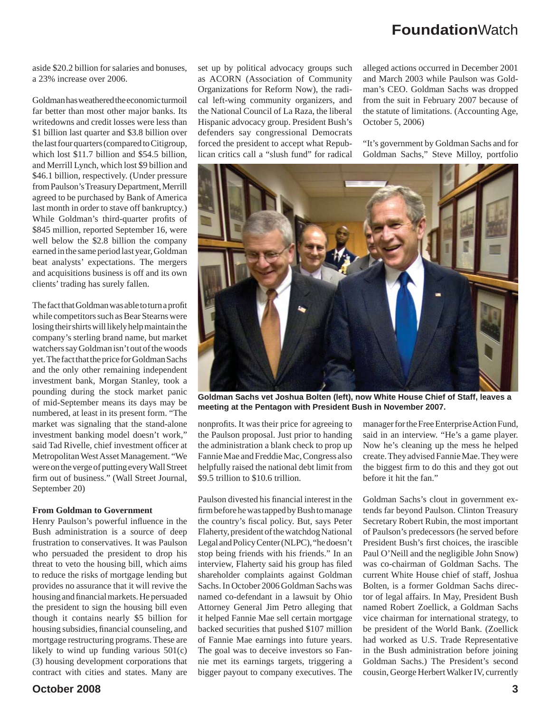aside \$20.2 billion for salaries and bonuses, a 23% increase over 2006.

Goldman has weathered the economic turmoil far better than most other major banks. Its writedowns and credit losses were less than \$1 billion last quarter and \$3.8 billion over the last four quarters (compared to Citigroup, which lost \$11.7 billion and \$54.5 billion, and Merrill Lynch, which lost \$9 billion and \$46.1 billion, respectively. (Under pressure from Paulson's Treasury Department, Merrill agreed to be purchased by Bank of America last month in order to stave off bankruptcy.) While Goldman's third-quarter profits of \$845 million, reported September 16, were well below the \$2.8 billion the company earned in the same period last year, Goldman beat analysts' expectations. The mergers and acquisitions business is off and its own clients' trading has surely fallen.

The fact that Goldman was able to turn a profit while competitors such as Bear Stearns were losing their shirts will likely help maintain the company's sterling brand name, but market watchers say Goldman isn't out of the woods yet. The fact that the price for Goldman Sachs and the only other remaining independent investment bank, Morgan Stanley, took a pounding during the stock market panic of mid-September means its days may be numbered, at least in its present form. "The market was signaling that the stand-alone investment banking model doesn't work," said Tad Rivelle, chief investment officer at Metropolitan West Asset Management. "We were on the verge of putting every Wall Street firm out of business." (Wall Street Journal, September 20)

#### **From Goldman to Government**

Henry Paulson's powerful influence in the Bush administration is a source of deep frustration to conservatives. It was Paulson who persuaded the president to drop his threat to veto the housing bill, which aims to reduce the risks of mortgage lending but provides no assurance that it will revive the housing and financial markets. He persuaded the president to sign the housing bill even though it contains nearly \$5 billion for housing subsidies, financial counseling, and mortgage restructuring programs. These are likely to wind up funding various 501(c) (3) housing development corporations that contract with cities and states. Many are

set up by political advocacy groups such as ACORN (Association of Community Organizations for Reform Now), the radical left-wing community organizers, and the National Council of La Raza, the liberal Hispanic advocacy group. President Bush's defenders say congressional Democrats forced the president to accept what Republican critics call a "slush fund" for radical

alleged actions occurred in December 2001 and March 2003 while Paulson was Goldman's CEO. Goldman Sachs was dropped from the suit in February 2007 because of the statute of limitations. (Accounting Age, October 5, 2006)

"It's government by Goldman Sachs and for Goldman Sachs," Steve Milloy, portfolio



**Goldman Sachs vet Joshua Bolten (left), now White House Chief of Staff, leaves a meeting at the Pentagon with President Bush in November 2007.**

nonprofits. It was their price for agreeing to the Paulson proposal. Just prior to handing the administration a blank check to prop up Fannie Mae and Freddie Mac, Congress also helpfully raised the national debt limit from \$9.5 trillion to \$10.6 trillion.

Paulson divested his financial interest in the firm before he was tapped by Bush to manage the country's fiscal policy. But, says Peter Flaherty, president of the watchdog National Legal and Policy Center (NLPC), "he doesn't stop being friends with his friends." In an interview, Flaherty said his group has filed shareholder complaints against Goldman Sachs. In October 2006 Goldman Sachs was named co-defendant in a lawsuit by Ohio Attorney General Jim Petro alleging that it helped Fannie Mae sell certain mortgage backed securities that pushed \$107 million of Fannie Mae earnings into future years. The goal was to deceive investors so Fannie met its earnings targets, triggering a bigger payout to company executives. The

manager for the Free Enterprise Action Fund, said in an interview. "He's a game player. Now he's cleaning up the mess he helped create. They advised Fannie Mae. They were the biggest firm to do this and they got out before it hit the fan."

Goldman Sachs's clout in government extends far beyond Paulson. Clinton Treasury Secretary Robert Rubin, the most important of Paulson's predecessors (he served before President Bush's first choices, the irascible Paul O'Neill and the negligible John Snow) was co-chairman of Goldman Sachs. The current White House chief of staff, Joshua Bolten, is a former Goldman Sachs director of legal affairs. In May, President Bush named Robert Zoellick, a Goldman Sachs vice chairman for international strategy, to be president of the World Bank. (Zoellick had worked as U.S. Trade Representative in the Bush administration before joining Goldman Sachs.) The President's second cousin, George Herbert Walker IV, currently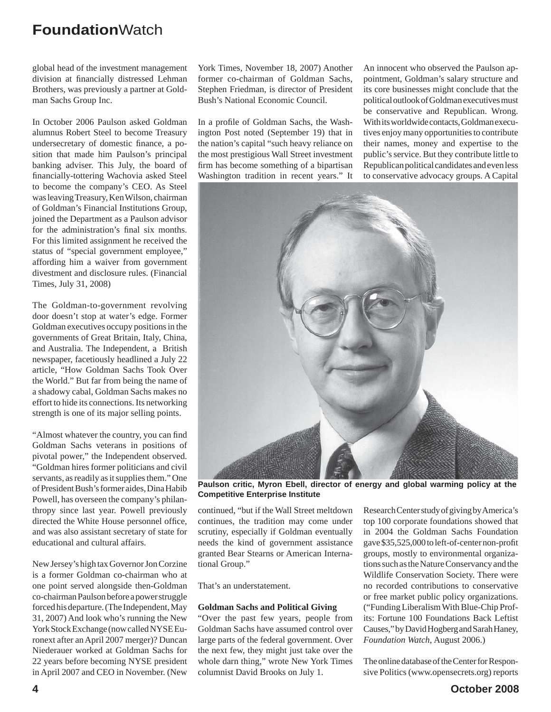global head of the investment management division at financially distressed Lehman Brothers, was previously a partner at Goldman Sachs Group Inc.

In October 2006 Paulson asked Goldman alumnus Robert Steel to become Treasury undersecretary of domestic finance, a position that made him Paulson's principal banking adviser. This July, the board of financially-tottering Wachovia asked Steel to become the company's CEO. As Steel was leaving Treasury, Ken Wilson, chairman of Goldman's Financial Institutions Group, joined the Department as a Paulson advisor for the administration's final six months. For this limited assignment he received the status of "special government employee," affording him a waiver from government divestment and disclosure rules. (Financial Times, July 31, 2008)

The Goldman-to-government revolving door doesn't stop at water's edge. Former Goldman executives occupy positions in the governments of Great Britain, Italy, China, and Australia. The Independent, a British newspaper, facetiously headlined a July 22 article, "How Goldman Sachs Took Over the World." But far from being the name of a shadowy cabal, Goldman Sachs makes no effort to hide its connections. Its networking strength is one of its major selling points.

"Almost whatever the country, you can find Goldman Sachs veterans in positions of pivotal power," the Independent observed. "Goldman hires former politicians and civil servants, as readily as it supplies them." One of President Bush's former aides, Dina Habib Powell, has overseen the company's philanthropy since last year. Powell previously directed the White House personnel office, and was also assistant secretary of state for educational and cultural affairs.

New Jersey's high tax Governor Jon Corzine is a former Goldman co-chairman who at one point served alongside then-Goldman co-chairman Paulson before a power struggle forced his departure. (The Independent, May 31, 2007) And look who's running the New York Stock Exchange (now called NYSE Euronext after an April 2007 merger)? Duncan Niederauer worked at Goldman Sachs for 22 years before becoming NYSE president in April 2007 and CEO in November. (New

York Times, November 18, 2007) Another former co-chairman of Goldman Sachs, Stephen Friedman, is director of President Bush's National Economic Council.

In a profile of Goldman Sachs, the Washington Post noted (September 19) that in the nation's capital "such heavy reliance on the most prestigious Wall Street investment firm has become something of a bipartisan Washington tradition in recent years." It

An innocent who observed the Paulson appointment, Goldman's salary structure and its core businesses might conclude that the political outlook of Goldman executives must be conservative and Republican. Wrong. With its worldwide contacts, Goldman executives enjoy many opportunities to contribute their names, money and expertise to the public's service. But they contribute little to Republican political candidates and even less to conservative advocacy groups. A Capital



**Paulson critic, Myron Ebell, director of energy and global warming policy at the Competitive Enterprise Institute**

continued, "but if the Wall Street meltdown continues, the tradition may come under scrutiny, especially if Goldman eventually needs the kind of government assistance granted Bear Stearns or American International Group."

That's an understatement.

#### **Goldman Sachs and Political Giving**

"Over the past few years, people from Goldman Sachs have assumed control over large parts of the federal government. Over the next few, they might just take over the whole darn thing," wrote New York Times columnist David Brooks on July 1.

Research Centerstudy of giving by America's top 100 corporate foundations showed that in 2004 the Goldman Sachs Foundation gave \$35,525,000 to left-of-center non-profit groups, mostly to environmental organizations such as the Nature Conservancy and the Wildlife Conservation Society. There were no recorded contributions to conservative or free market public policy organizations. ("Funding Liberalism With Blue-Chip Profits: Fortune 100 Foundations Back Leftist Causes," by David Hogberg and Sarah Haney, *Foundation Watch*, August 2006.)

The online database of the Center for Responsive Politics (www.opensecrets.org) reports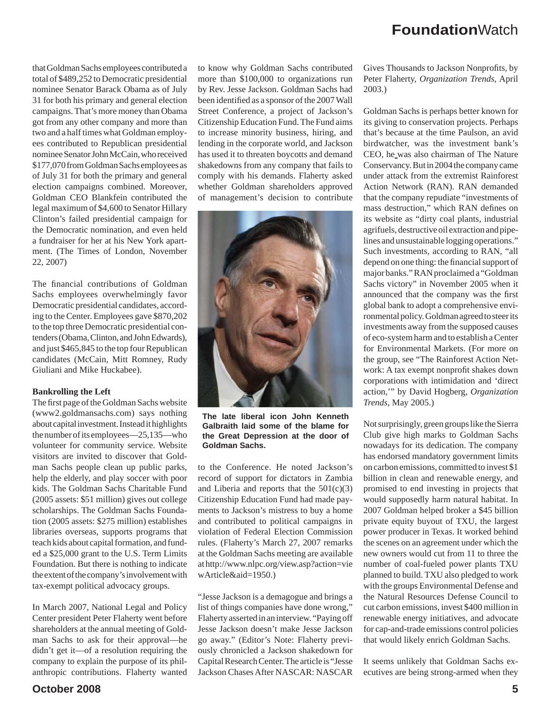that Goldman Sachs employees contributed a total of \$489,252 to Democratic presidential nominee Senator Barack Obama as of July 31 for both his primary and general election campaigns. That's more money than Obama got from any other company and more than two and a half times what Goldman employees contributed to Republican presidential nominee Senator John McCain, who received \$177,070 from Goldman Sachs employees as of July 31 for both the primary and general election campaigns combined. Moreover, Goldman CEO Blankfein contributed the legal maximum of \$4,600 to Senator Hillary Clinton's failed presidential campaign for the Democratic nomination, and even held a fundraiser for her at his New York apartment. (The Times of London, November 22, 2007)

The financial contributions of Goldman Sachs employees overwhelmingly favor Democratic presidential candidates, according to the Center. Employees gave \$870,202 to the top three Democratic presidential contenders (Obama, Clinton, and John Edwards), and just \$465,845 to the top four Republican candidates (McCain, Mitt Romney, Rudy Giuliani and Mike Huckabee).

#### **Bankrolling the Left**

The first page of the Goldman Sachs website (www2.goldmansachs.com) says nothing about capital investment. Instead it highlights the number of its employees—25,135—who volunteer for community service. Website visitors are invited to discover that Goldman Sachs people clean up public parks, help the elderly, and play soccer with poor kids. The Goldman Sachs Charitable Fund (2005 assets: \$51 million) gives out college scholarships. The Goldman Sachs Foundation (2005 assets: \$275 million) establishes libraries overseas, supports programs that teach kids about capital formation, and funded a \$25,000 grant to the U.S. Term Limits Foundation. But there is nothing to indicate the extent of the company's involvement with tax-exempt political advocacy groups.

In March 2007, National Legal and Policy Center president Peter Flaherty went before shareholders at the annual meeting of Goldman Sachs to ask for their approval—he didn't get it—of a resolution requiring the company to explain the purpose of its philanthropic contributions. Flaherty wanted

to know why Goldman Sachs contributed more than \$100,000 to organizations run by Rev. Jesse Jackson. Goldman Sachs had been identified as a sponsor of the 2007 Wall Street Conference, a project of Jackson's Citizenship Education Fund. The Fund aims to increase minority business, hiring, and lending in the corporate world, and Jackson has used it to threaten boycotts and demand shakedowns from any company that fails to comply with his demands. Flaherty asked whether Goldman shareholders approved of management's decision to contribute



**The late liberal icon John Kenneth Galbraith laid some of the blame for the Great Depression at the door of Goldman Sachs.**

to the Conference. He noted Jackson's record of support for dictators in Zambia and Liberia and reports that the  $501(c)(3)$ Citizenship Education Fund had made payments to Jackson's mistress to buy a home and contributed to political campaigns in violation of Federal Election Commission rules. (Flaherty's March 27, 2007 remarks at the Goldman Sachs meeting are available at http://www.nlpc.org/view.asp?action=vie wArticle&aid=1950.)

"Jesse Jackson is a demagogue and brings a list of things companies have done wrong," Flaherty asserted in an interview. "Paying off Jesse Jackson doesn't make Jesse Jackson go away." (Editor's Note: Flaherty previously chronicled a Jackson shakedown for Capital Research Center. The article is "Jesse Jackson Chases After NASCAR: NASCAR

Gives Thousands to Jackson Nonprofits, by Peter Flaherty, *Organization Trends*, April 2003.)

Goldman Sachs is perhaps better known for its giving to conservation projects. Perhaps that's because at the time Paulson, an avid birdwatcher, was the investment bank's CEO, he was also chairman of The Nature Conservancy. But in 2004 the company came under attack from the extremist Rainforest Action Network (RAN). RAN demanded that the company repudiate "investments of mass destruction," which RAN defines on its website as "dirty coal plants, industrial agrifuels, destructive oil extraction and pipelines and unsustainable logging operations." Such investments, according to RAN, "all depend on one thing: the financial support of major banks." RAN proclaimed a "Goldman Sachs victory" in November 2005 when it announced that the company was the first global bank to adopt a comprehensive environmental policy. Goldman agreed to steer its investments away from the supposed causes of eco-system harm and to establish a Center for Environmental Markets. (For more on the group, see "The Rainforest Action Network: A tax exempt nonprofit shakes down corporations with intimidation and 'direct action,'" by David Hogberg, *Organization Trends*, May 2005.)

Not surprisingly, green groups like the Sierra Club give high marks to Goldman Sachs nowadays for its dedication. The company has endorsed mandatory government limits on carbon emissions, committed to invest \$1 billion in clean and renewable energy, and promised to end investing in projects that would supposedly harm natural habitat. In 2007 Goldman helped broker a \$45 billion private equity buyout of TXU, the largest power producer in Texas. It worked behind the scenes on an agreement under which the new owners would cut from 11 to three the number of coal-fueled power plants TXU planned to build. TXU also pledged to work with the groups Environmental Defense and the Natural Resources Defense Council to cut carbon emissions, invest \$400 million in renewable energy initiatives, and advocate for cap-and-trade emissions control policies that would likely enrich Goldman Sachs.

It seems unlikely that Goldman Sachs executives are being strong-armed when they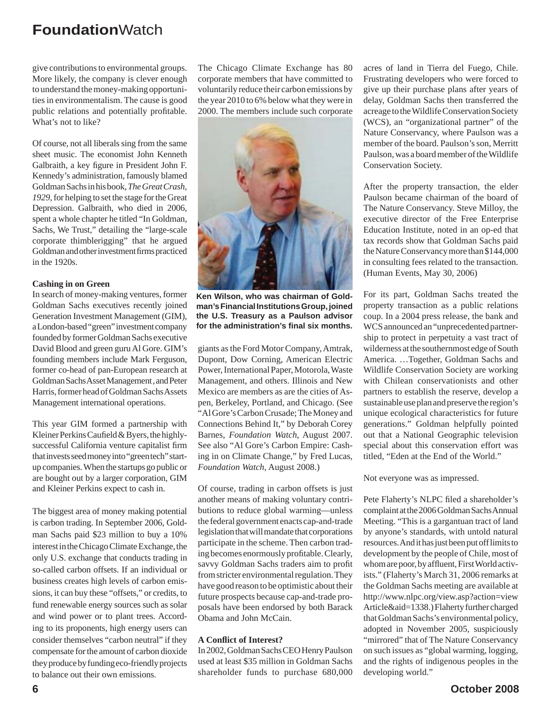give contributions to environmental groups. More likely, the company is clever enough to understand the money-making opportunities in environmentalism. The cause is good public relations and potentially profitable. What's not to like?

Of course, not all liberals sing from the same sheet music. The economist John Kenneth Galbraith, a key figure in President John F. Kennedy's administration, famously blamed Goldman Sachs in his book, *The Great Crash, 1929*, for helping to set the stage for the Great Depression. Galbraith, who died in 2006, spent a whole chapter he titled "In Goldman, Sachs, We Trust," detailing the "large-scale corporate thimblerigging" that he argued Goldman and other investment firms practiced in the 1920s.

#### **Cashing in on Green**

In search of money-making ventures, former Goldman Sachs executives recently joined Generation Investment Management (GIM), a London-based "green" investment company founded by former Goldman Sachs executive David Blood and green guru Al Gore. GIM's founding members include Mark Ferguson, former co-head of pan-European research at Goldman Sachs Asset Management , and Peter Harris, former head of Goldman Sachs Assets Management international operations.

This year GIM formed a partnership with Kleiner Perkins Caufield & Byers, the highlysuccessful California venture capitalist firm that invests seed money into "green tech" startup companies. When the startups go public or are bought out by a larger corporation, GIM and Kleiner Perkins expect to cash in.

The biggest area of money making potential is carbon trading. In September 2006, Goldman Sachs paid \$23 million to buy a 10% interest in the Chicago Climate Exchange, the only U.S. exchange that conducts trading in so-called carbon offsets. If an individual or business creates high levels of carbon emissions, it can buy these "offsets," or credits, to fund renewable energy sources such as solar and wind power or to plant trees. According to its proponents, high energy users can consider themselves "carbon neutral" if they compensate for the amount of carbon dioxide they produce by funding eco-friendly projects to balance out their own emissions.

The Chicago Climate Exchange has 80 corporate members that have committed to voluntarily reduce their carbon emissions by the year 2010 to 6% below what they were in 2000. The members include such corporate



**Ken Wilson, who was chairman of Goldman's Financial Institutions Group, joined the U.S. Treasury as a Paulson advisor for the administration's fi nal six months.**

giants as the Ford Motor Company, Amtrak, Dupont, Dow Corning, American Electric Power, International Paper, Motorola, Waste Management, and others. Illinois and New Mexico are members as are the cities of Aspen, Berkeley, Portland, and Chicago. (See "Al Gore's Carbon Crusade; The Money and Connections Behind It," by Deborah Corey Barnes, *Foundation Watch*, August 2007. See also "Al Gore's Carbon Empire: Cashing in on Climate Change," by Fred Lucas, *Foundation Watch*, August 2008.)

Of course, trading in carbon offsets is just another means of making voluntary contributions to reduce global warming—unless the federal government enacts cap-and-trade legislation that will mandate that corporations participate in the scheme. Then carbon trading becomes enormously profitable. Clearly, savvy Goldman Sachs traders aim to profit from stricter environmental regulation. They have good reason to be optimistic about their future prospects because cap-and-trade proposals have been endorsed by both Barack Obama and John McCain.

#### **A Confl ict of Interest?**

In 2002, Goldman Sachs CEO Henry Paulson used at least \$35 million in Goldman Sachs shareholder funds to purchase 680,000

acres of land in Tierra del Fuego, Chile. Frustrating developers who were forced to give up their purchase plans after years of delay, Goldman Sachs then transferred the acreage to the Wildlife Conservation Society (WCS), an "organizational partner" of the Nature Conservancy, where Paulson was a member of the board. Paulson's son, Merritt Paulson, was a board member of the Wildlife Conservation Society.

After the property transaction, the elder Paulson became chairman of the board of The Nature Conservancy. Steve Milloy, the executive director of the Free Enterprise Education Institute, noted in an op-ed that tax records show that Goldman Sachs paid the Nature Conservancy more than \$144,000 in consulting fees related to the transaction. (Human Events, May 30, 2006)

For its part, Goldman Sachs treated the property transaction as a public relations coup. In a 2004 press release, the bank and WCS announced an "unprecedented partnership to protect in perpetuity a vast tract of wilderness at the southernmost edge of South America. …Together, Goldman Sachs and Wildlife Conservation Society are working with Chilean conservationists and other partners to establish the reserve, develop a sustainable use plan and preserve the region's unique ecological characteristics for future generations." Goldman helpfully pointed out that a National Geographic television special about this conservation effort was titled, "Eden at the End of the World."

Not everyone was as impressed.

Pete Flaherty's NLPC filed a shareholder's complaint at the 2006 Goldman Sachs Annual Meeting. "This is a gargantuan tract of land by anyone's standards, with untold natural resources. And it has just been put off limits to development by the people of Chile, most of whom are poor, by affluent, First World activists." (Flaherty's March 31, 2006 remarks at the Goldman Sachs meeting are available at http://www.nlpc.org/view.asp?action=view Article&aid=1338.) Flaherty further charged that Goldman Sachs's environmental policy, adopted in November 2005, suspiciously "mirrored" that of The Nature Conservancy on such issues as "global warming, logging, and the rights of indigenous peoples in the developing world."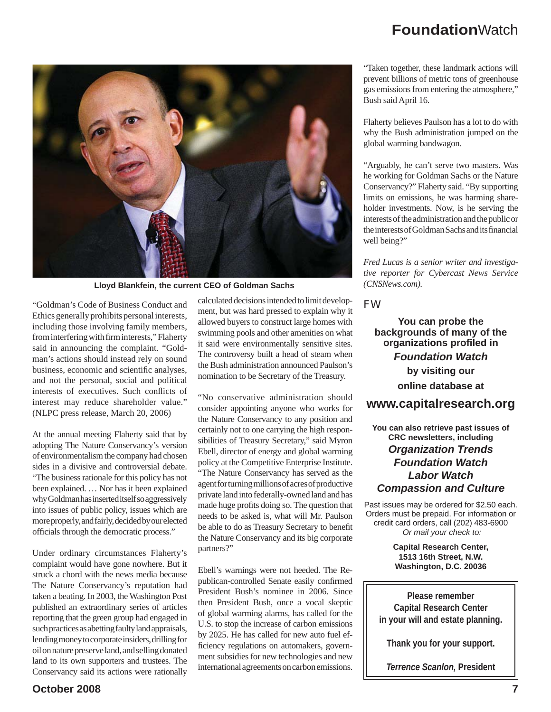

**Lloyd Blankfein, the current CEO of Goldman Sachs**

"Goldman's Code of Business Conduct and Ethics generally prohibits personal interests, including those involving family members, from interfering with firm interests," Flaherty said in announcing the complaint. "Goldman's actions should instead rely on sound business, economic and scientific analyses, and not the personal, social and political interests of executives. Such conflicts of interest may reduce shareholder value." (NLPC press release, March 20, 2006)

At the annual meeting Flaherty said that by adopting The Nature Conservancy's version of environmentalism the company had chosen sides in a divisive and controversial debate. "The business rationale for this policy has not been explained. … Nor has it been explained why Goldman has inserted itself so aggressively into issues of public policy, issues which are more properly, and fairly, decided by our elected officials through the democratic process."

Under ordinary circumstances Flaherty's complaint would have gone nowhere. But it struck a chord with the news media because The Nature Conservancy's reputation had taken a beating. In 2003, the Washington Post published an extraordinary series of articles reporting that the green group had engaged in such practices as abetting faulty land appraisals, lending money to corporate insiders, drilling for oil on nature preserve land, and selling donated land to its own supporters and trustees. The Conservancy said its actions were rationally

calculated decisions intended to limit development, but was hard pressed to explain why it allowed buyers to construct large homes with swimming pools and other amenities on what it said were environmentally sensitive sites. The controversy built a head of steam when the Bush administration announced Paulson's nomination to be Secretary of the Treasury.

"No conservative administration should consider appointing anyone who works for the Nature Conservancy to any position and certainly not to one carrying the high responsibilities of Treasury Secretary," said Myron Ebell, director of energy and global warming policy at the Competitive Enterprise Institute. "The Nature Conservancy has served as the agent for turning millions of acres of productive private land into federally-owned land and has made huge profits doing so. The question that needs to be asked is, what will Mr. Paulson be able to do as Treasury Secretary to benefit the Nature Conservancy and its big corporate partners?"

Ebell's warnings were not heeded. The Republican-controlled Senate easily confirmed President Bush's nominee in 2006. Since then President Bush, once a vocal skeptic of global warming alarms, has called for the U.S. to stop the increase of carbon emissions by 2025. He has called for new auto fuel efficiency regulations on automakers, government subsidies for new technologies and new international agreements on carbon emissions.

"Taken together, these landmark actions will prevent billions of metric tons of greenhouse gas emissions from entering the atmosphere," Bush said April 16.

Flaherty believes Paulson has a lot to do with why the Bush administration jumped on the global warming bandwagon.

"Arguably, he can't serve two masters. Was he working for Goldman Sachs or the Nature Conservancy?" Flaherty said. "By supporting limits on emissions, he was harming shareholder investments. Now, is he serving the interests of the administration and the public or the interests of Goldman Sachs and its financial well being?"

*Fred Lucas is a senior writer and investigative reporter for Cybercast News Service (CNSNews.com).*

*FW*

**You can probe the backgrounds of many of the organizations profiled in** *Foundation Watch* **by visiting our online database at**

### **www.capitalresearch.org**

**You can also retrieve past issues of CRC newsletters, including** *Organization Trends Foundation Watch Labor Watch Compassion and Culture*

Past issues may be ordered for \$2.50 each. Orders must be prepaid. For information or credit card orders, call (202) 483-6900 *Or mail your check to:*

> **Capital Research Center, 1513 16th Street, N.W. Washington, D.C. 20036**

**Please remember Capital Research Center in your will and estate planning.** 

**Thank you for your support.** 

*Terrence Scanlon,* **President**